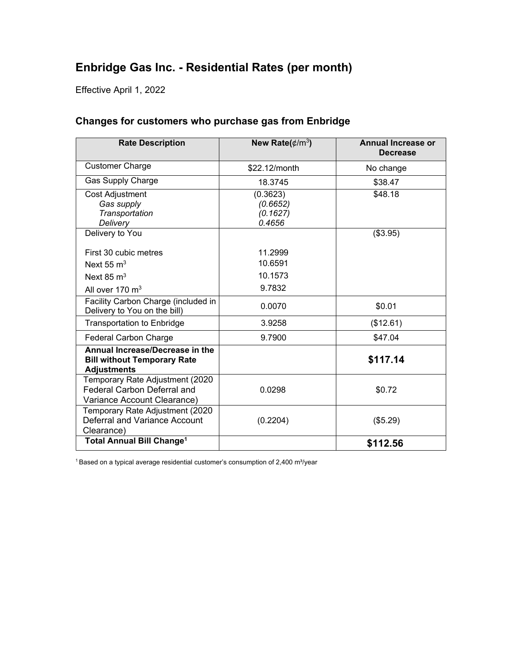# **Enbridge Gas Inc. - Residential Rates (per month)**

Effective April 1, 2022

| <b>Rate Description</b>                                                                     | New Rate( $\rlap{/}$ /m <sup>3</sup> ) | <b>Annual Increase or</b><br><b>Decrease</b> |
|---------------------------------------------------------------------------------------------|----------------------------------------|----------------------------------------------|
| <b>Customer Charge</b>                                                                      | \$22.12/month                          | No change                                    |
| <b>Gas Supply Charge</b>                                                                    | 18.3745                                | \$38.47                                      |
| Cost Adjustment                                                                             | (0.3623)                               | \$48.18                                      |
| Gas supply                                                                                  | (0.6652)                               |                                              |
| Transportation                                                                              | (0.1627)                               |                                              |
| Delivery                                                                                    | 0.4656                                 |                                              |
| Delivery to You                                                                             |                                        | (\$3.95)                                     |
| First 30 cubic metres                                                                       | 11.2999                                |                                              |
| Next 55 $m3$                                                                                | 10.6591                                |                                              |
| Next 85 $m3$                                                                                | 10.1573                                |                                              |
| All over 170 m <sup>3</sup>                                                                 | 9.7832                                 |                                              |
| Facility Carbon Charge (included in<br>Delivery to You on the bill)                         | 0.0070                                 | \$0.01                                       |
| <b>Transportation to Enbridge</b>                                                           | 3.9258                                 | (\$12.61)                                    |
| <b>Federal Carbon Charge</b>                                                                | 9.7900                                 | \$47.04                                      |
| Annual Increase/Decrease in the<br><b>Bill without Temporary Rate</b><br><b>Adjustments</b> |                                        | \$117.14                                     |
| Temporary Rate Adjustment (2020                                                             |                                        |                                              |
| <b>Federal Carbon Deferral and</b>                                                          | 0.0298                                 | \$0.72                                       |
| Variance Account Clearance)                                                                 |                                        |                                              |
| Temporary Rate Adjustment (2020                                                             |                                        |                                              |
| Deferral and Variance Account                                                               | (0.2204)                               | (\$5.29)                                     |
| Clearance)                                                                                  |                                        |                                              |
| <b>Total Annual Bill Change<sup>1</sup></b>                                                 |                                        | \$112.56                                     |

### **Changes for customers who purchase gas from Enbridge**

 $1$  Based on a typical average residential customer's consumption of 2,400 m $\frac{3}{y}$ ear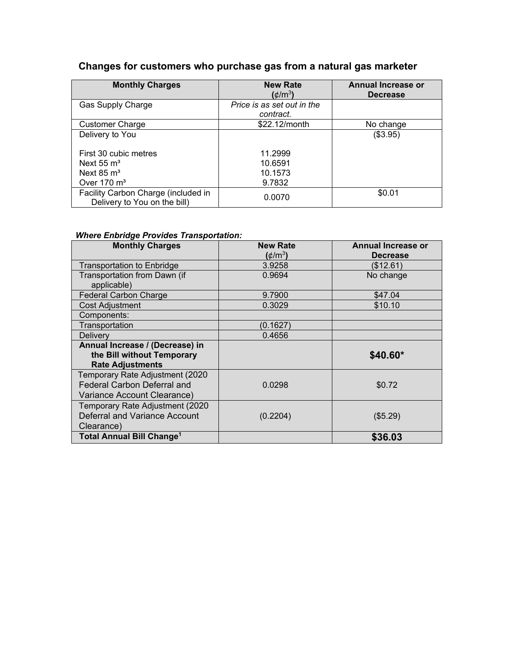## **Changes for customers who purchase gas from a natural gas marketer**

| <b>Monthly Charges</b>                                              | <b>New Rate</b><br>$(\phi/m^3)$         | <b>Annual Increase or</b><br><b>Decrease</b> |
|---------------------------------------------------------------------|-----------------------------------------|----------------------------------------------|
| <b>Gas Supply Charge</b>                                            | Price is as set out in the<br>contract. |                                              |
| <b>Customer Charge</b>                                              | \$22.12/month                           | No change                                    |
| Delivery to You                                                     |                                         | (\$3.95)                                     |
| First 30 cubic metres                                               | 11.2999                                 |                                              |
| Next $55 \text{ m}^3$                                               | 10.6591                                 |                                              |
| Next $85 \text{ m}^3$                                               | 10.1573                                 |                                              |
| Over $170 \text{ m}^3$                                              | 9.7832                                  |                                              |
| Facility Carbon Charge (included in<br>Delivery to You on the bill) | 0.0070                                  | \$0.01                                       |

#### *Where Enbridge Provides Transportation:*

| <b>Monthly Charges</b>                      | <b>New Rate</b><br>$(\phi/m^3)$ | Annual Increase or<br><b>Decrease</b> |
|---------------------------------------------|---------------------------------|---------------------------------------|
| <b>Transportation to Enbridge</b>           | 3.9258                          | (\$12.61)                             |
| Transportation from Dawn (if<br>applicable) | 0.9694                          | No change                             |
| <b>Federal Carbon Charge</b>                | 9.7900                          | \$47.04                               |
| <b>Cost Adjustment</b>                      | 0.3029                          | \$10.10                               |
| Components:                                 |                                 |                                       |
| Transportation                              | (0.1627)                        |                                       |
| <b>Delivery</b>                             | 0.4656                          |                                       |
| Annual Increase / (Decrease) in             |                                 |                                       |
| the Bill without Temporary                  |                                 | \$40.60*                              |
| <b>Rate Adjustments</b>                     |                                 |                                       |
| Temporary Rate Adjustment (2020             |                                 |                                       |
| <b>Federal Carbon Deferral and</b>          | 0.0298                          | \$0.72                                |
| Variance Account Clearance)                 |                                 |                                       |
| Temporary Rate Adjustment (2020             |                                 |                                       |
| Deferral and Variance Account               | (0.2204)                        | (\$5.29)                              |
| Clearance)                                  |                                 |                                       |
| <b>Total Annual Bill Change<sup>1</sup></b> |                                 | \$36.03                               |